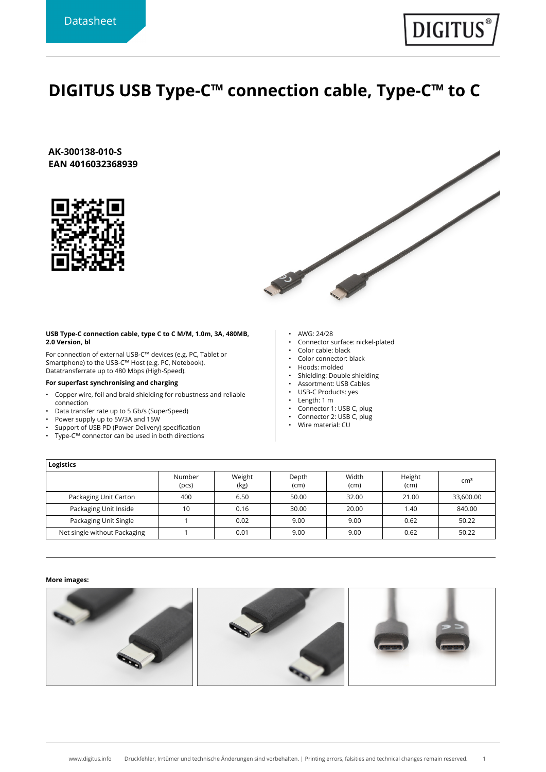## **DIGITUS USB Type-C™ connection cable, Type-C™ to C**

**AK-300138-010-S EAN 4016032368939**





## **USB Type-C connection cable, type C to C M/M, 1.0m, 3A, 480MB, 2.0 Version, bl**

For connection of external USB-C™ devices (e.g. PC, Tablet or Smartphone) to the USB-C™ Host (e.g. PC, Notebook). Datatransferrate up to 480 Mbps (High-Speed).

## **For superfast synchronising and charging**

- Copper wire, foil and braid shielding for robustness and reliable connection
- Data transfer rate up to 5 Gb/s (SuperSpeed)
- Power supply up to 5V/3A and 15W
- Support of USB PD (Power Delivery) specification
- Type-C™ connector can be used in both directions
- AWG: 24/28
- Connector surface: nickel-plated
- Color cable: black
- Color connector: black
- Hoods: molded
- Shielding: Double shielding • Assortment: USB Cables
- USB-C Products: yes
- Length: 1 m
- Connector 1: USB C, plug
- Connector 2: USB C, plug
- Wire material: CU
- **Logistics** Number (pcs) Weight (kg) Depth (cm) Width (cm) Height deignt | cm<sup>3</sup><br>(cm) Packaging Unit Carton | 400 | 6.50 | 50.00 | 32.00 | 21.00 | 33,600.00 Packaging Unit Inside 10 10 0.16 30.00 20.00 1.40 840.00 Packaging Unit Single 1 1 0.02 9.00 9.00 0.62 50.22 Net single without Packaging  $\begin{vmatrix} 1 & 0.01 & 9.00 & 9.00 & 0.62 \end{vmatrix}$  50.22

## **More images:**